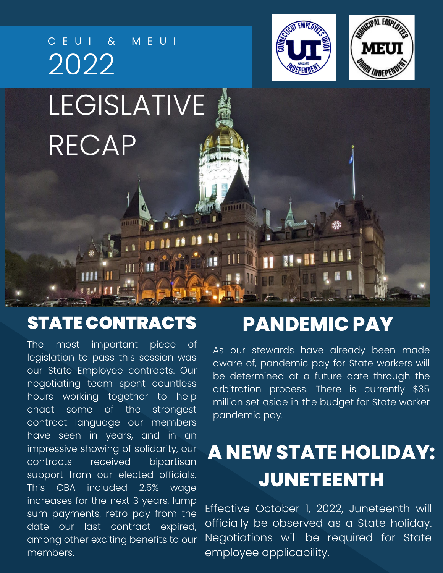

#### STATE CONTRACTS **PANDEMIC PAY**

The most important piece of legislation to pass this session was our State Employee contracts. Our negotiating team spent countless hours working together to help enact some of the strongest contract language our members have seen in years, and in an impressive showing of solidarity, our contracts received bipartisan support from our elected officials. This CBA included 2.5% wage increases for the next 3 years, lump sum payments, retro pay from the date our last contract expired, among other exciting benefits to our members.

As our stewards have already been made aware of, pandemic pay for State workers will be determined at a future date through the arbitration process. There is currently \$35 million set aside in the budget for State worker pandemic pay.

## **A NEW STATE HOLIDAY: JUNETEENTH**

Effective October 1, 2022, Juneteenth will officially be observed as a State holiday. Negotiations will be required for State employee applicability.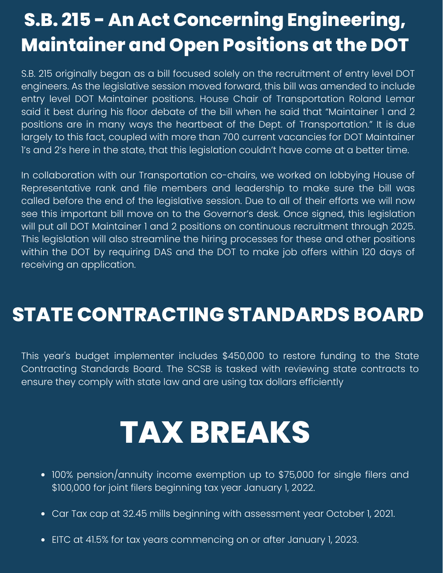### **S.B. 215 - An Act Concerning Engineering, Maintainer and Open Positions at the DOT**

S.B. 215 originally began as a bill focused solely on the recruitment of entry level DOT engineers. As the legislative session moved forward, this bill was amended to include entry level DOT Maintainer positions. House Chair of Transportation Roland Lemar said it best during his floor debate of the bill when he said that "Maintainer 1 and 2 positions are in many ways the heartbeat of the Dept. of Transportation." It is due largely to this fact, coupled with more than 700 current vacancies for DOT Maintainer 1's and 2's here in the state, that this legislation couldn't have come at a better time.

In collaboration with our Transportation co-chairs, we worked on lobbying House of Representative rank and file members and leadership to make sure the bill was called before the end of the legislative session. Due to all of their efforts we will now see this important bill move on to the Governor's desk. Once signed, this legislation will put all DOT Maintainer 1 and 2 positions on continuous recruitment through 2025. This legislation will also streamline the hiring processes for these and other positions within the DOT by requiring DAS and the DOT to make job offers within 120 days of receiving an application.

#### **STATE CONTRACTING STANDARDS BOARD**

This year's budget implementer includes \$450,000 to restore funding to the State Contracting Standards Board. The SCSB is tasked with reviewing state contracts to ensure they comply with state law and are using tax dollars efficiently

# **TAX BREAKS**

- 100% pension/annuity income exemption up to \$75,000 for single filers and \$100,000 for joint filers beginning tax year January 1, 2022.
- Car Tax cap at 32.45 mills beginning with assessment year October 1, 2021.
- EITC at 41.5% for tax years commencing on or after January 1, 2023.